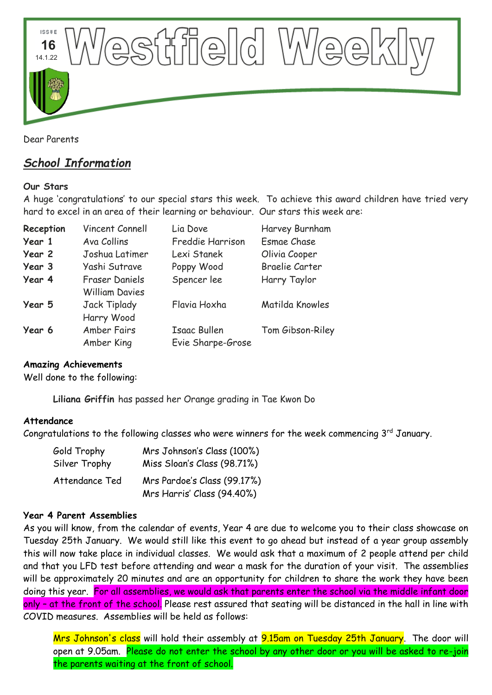

Dear Parents

# *School Information*

#### **Our Stars**

A huge 'congratulations' to our special stars this week. To achieve this award children have tried very hard to excel in an area of their learning or behaviour. Our stars this week are:

| Reception | Vincent Connell       | Lia Dove            | Harvey Burnham        |
|-----------|-----------------------|---------------------|-----------------------|
| Year 1    | Ava Collins           | Freddie Harrison    | <b>Esmae Chase</b>    |
| Year 2    | Joshua Latimer        | Lexi Stanek         | Olivia Cooper         |
| Year 3    | Yashi Sutrave         | Poppy Wood          | <b>Braelie Carter</b> |
| Year 4    | Fraser Daniels        | Spencer lee         | Harry Taylor          |
|           | <b>William Davies</b> |                     |                       |
| Year 5    | <b>Jack Tiplady</b>   | Flavia Hoxha        | Matilda Knowles       |
|           | Harry Wood            |                     |                       |
| Year 6    | <b>Amber Fairs</b>    | <b>Isaac Bullen</b> | Tom Gibson-Riley      |
|           | Amber King            | Evie Sharpe-Grose   |                       |

#### **Amazing Achievements**

Well done to the following:

**Liliana Griffin** has passed her Orange grading in Tae Kwon Do

#### **Attendance**

Congratulations to the following classes who were winners for the week commencing  $3^{\text{rd}}$  January.

| Gold Trophy    | Mrs Johnson's Class (100%)  |  |
|----------------|-----------------------------|--|
| Silver Trophy  | Miss Sloan's Class (98.71%) |  |
| Attendance Ted | Mrs Pardoe's Class (99.17%) |  |
|                | Mrs Harris' Class (94.40%)  |  |

#### **Year 4 Parent Assemblies**

As you will know, from the calendar of events, Year 4 are due to welcome you to their class showcase on Tuesday 25th January. We would still like this event to go ahead but instead of a year group assembly this will now take place in individual classes. We would ask that a maximum of 2 people attend per child and that you LFD test before attending and wear a mask for the duration of your visit. The assemblies will be approximately 20 minutes and are an opportunity for children to share the work they have been doing this year. For all assemblies, we would ask that parents enter the school via the middle infant door only - at the front of the school. Please rest assured that seating will be distanced in the hall in line with COVID measures. Assemblies will be held as follows:

Mrs Johnson's class will hold their assembly at 9.15am on Tuesday 25th January. The door will open at 9.05am. Please do not enter the school by any other door or you will be asked to re-join the parents waiting at the front of school.